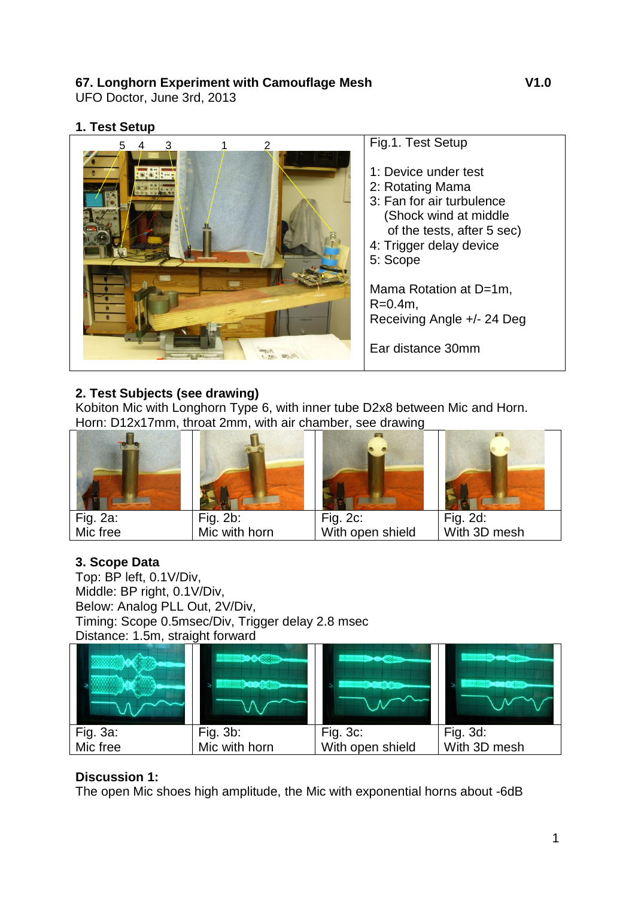### **67. Longhorn Experiment with Camouflage Mesh V1.0**

UFO Doctor, June 3rd, 2013

#### **1. Test Setup**



# **2. Test Subjects (see drawing)**

Kobiton Mic with Longhorn Type 6, with inner tube D2x8 between Mic and Horn. Horn: D12x17mm, throat 2mm, with air chamber, see drawing



# **3. Scope Data**

Top: BP left, 0.1V/Div, Middle: BP right, 0.1V/Div, Below: Analog PLL Out, 2V/Div, Timing: Scope 0.5msec/Div, Trigger delay 2.8 msec Distance: 1.5m, straight forward

|                      | Fig. 3b:      | Fig. 3c:         | Fig. 3d:     |
|----------------------|---------------|------------------|--------------|
| Fig. 3a:<br>Mic free | Mic with horn | With open shield | With 3D mesh |

# **Discussion 1:**

The open Mic shoes high amplitude, the Mic with exponential horns about -6dB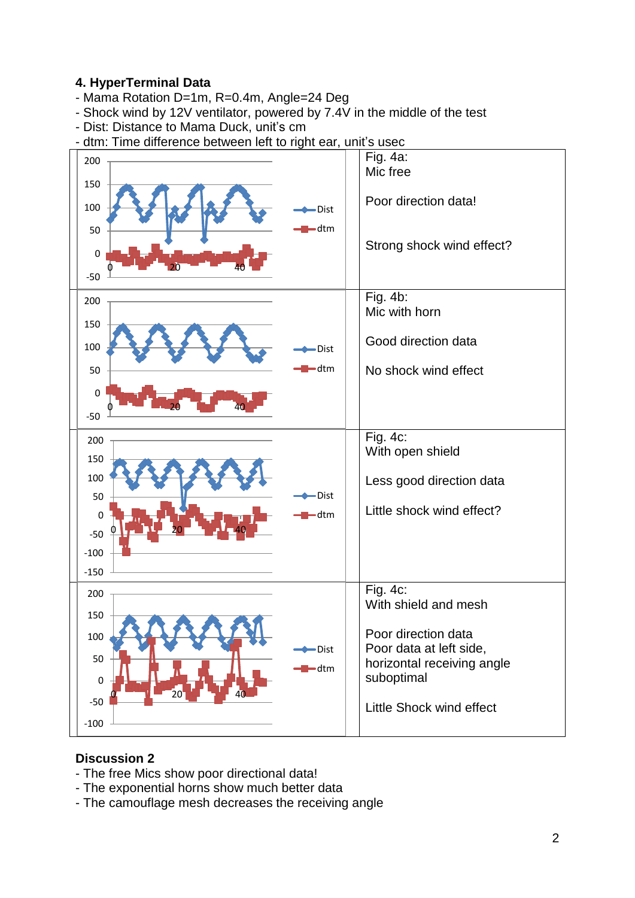#### **4. HyperTerminal Data**

- Mama Rotation D=1m, R=0.4m, Angle=24 Deg
- Shock wind by 12V ventilator, powered by 7.4V in the middle of the test
- Dist: Distance to Mama Duck, unit's cm
- dtm: Time difference between left to right ear, unit's usec



#### **Discussion 2**

- The free Mics show poor directional data!
- The exponential horns show much better data
- The camouflage mesh decreases the receiving angle